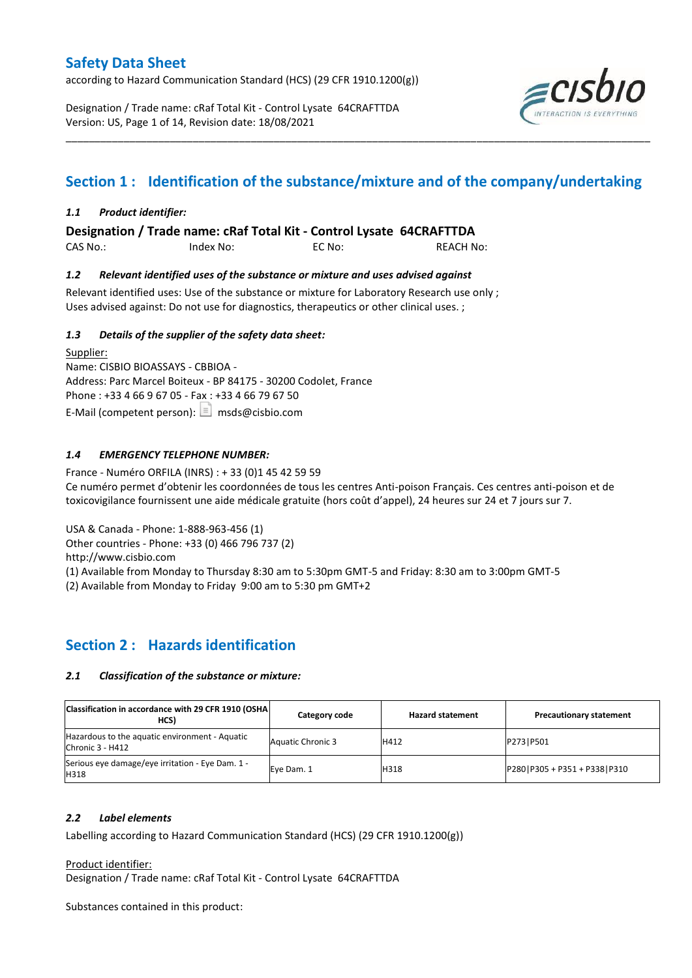according to Hazard Communication Standard (HCS) (29 CFR 1910.1200(g))

Designation / Trade name: cRaf Total Kit - Control Lysate 64CRAFTTDA Version: US, Page 1 of 14, Revision date: 18/08/2021



# **Section 1 : Identification of the substance/mixture and of the company/undertaking**

\_\_\_\_\_\_\_\_\_\_\_\_\_\_\_\_\_\_\_\_\_\_\_\_\_\_\_\_\_\_\_\_\_\_\_\_\_\_\_\_\_\_\_\_\_\_\_\_\_\_\_\_\_\_\_\_\_\_\_\_\_\_\_\_\_\_\_\_\_\_\_\_\_\_\_\_\_\_\_\_\_\_\_\_\_\_\_\_\_\_\_\_\_\_\_\_\_\_\_\_\_

#### *1.1 Product identifier:*

**Designation / Trade name: cRaf Total Kit - Control Lysate 64CRAFTTDA** 

CAS No.: Index No: EC No: REACH No:

#### *1.2 Relevant identified uses of the substance or mixture and uses advised against*

Relevant identified uses: Use of the substance or mixture for Laboratory Research use only ; Uses advised against: Do not use for diagnostics, therapeutics or other clinical uses. ;

#### *1.3 Details of the supplier of the safety data sheet:*

Supplier: Name: CISBIO BIOASSAYS - CBBIOA - Address: Parc Marcel Boiteux - BP 84175 - 30200 Codolet, France Phone : +33 4 66 9 67 05 - Fax : +33 4 66 79 67 50 E-Mail (competent person):  $\boxed{\equiv}$  msds@cisbio.com

#### *1.4 EMERGENCY TELEPHONE NUMBER:*

France - Numéro ORFILA (INRS) : + 33 (0)1 45 42 59 59 Ce numéro permet d'obtenir les coordonnées de tous les centres Anti-poison Français. Ces centres anti-poison et de toxicovigilance fournissent une aide médicale gratuite (hors coût d'appel), 24 heures sur 24 et 7 jours sur 7.

USA & Canada - Phone: 1-888-963-456 (1)

Other countries - Phone: +33 (0) 466 796 737 (2)

http://www.cisbio.com

(1) Available from Monday to Thursday 8:30 am to 5:30pm GMT-5 and Friday: 8:30 am to 3:00pm GMT-5

(2) Available from Monday to Friday 9:00 am to 5:30 pm GMT+2

### **Section 2 : Hazards identification**

#### *2.1 Classification of the substance or mixture:*

| Classification in accordance with 29 CFR 1910 (OSHA)<br>HCS)       | Category code            | <b>Hazard statement</b> | <b>Precautionary statement</b>   |
|--------------------------------------------------------------------|--------------------------|-------------------------|----------------------------------|
| Hazardous to the aquatic environment - Aquatic<br>Chronic 3 - H412 | <b>Aquatic Chronic 3</b> | H412                    | P273   P501                      |
| Serious eye damage/eye irritation - Eye Dam. 1 -<br>H318           | Eve Dam. 1               | H318                    | P280   P305 + P351 + P338   P310 |

#### *2.2 Label elements*

Labelling according to Hazard Communication Standard (HCS) (29 CFR 1910.1200(g))

Product identifier:

Designation / Trade name: cRaf Total Kit - Control Lysate 64CRAFTTDA

Substances contained in this product: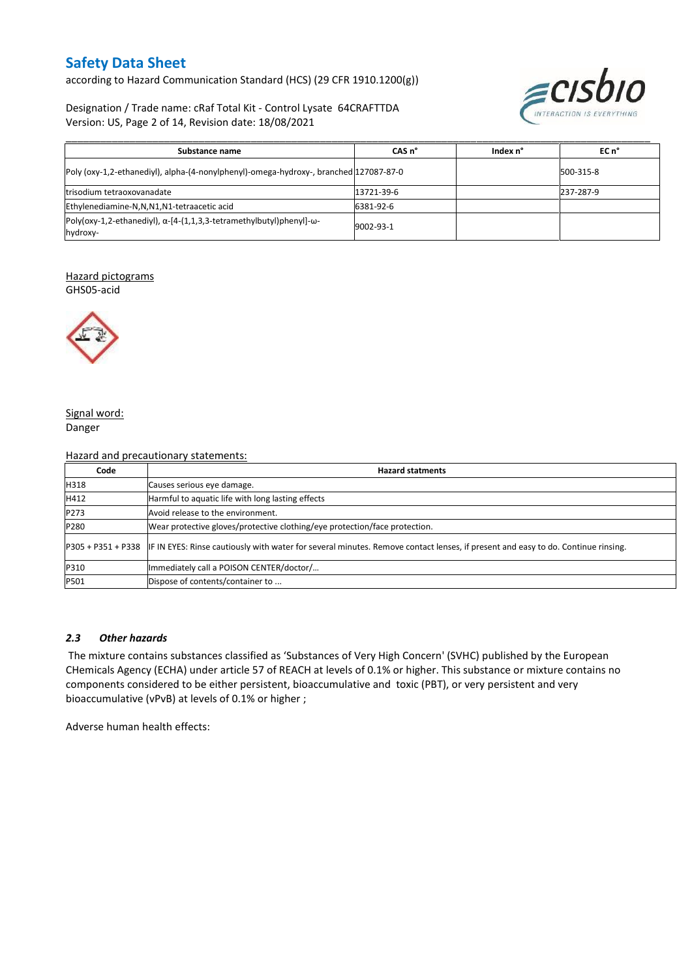according to Hazard Communication Standard (HCS) (29 CFR 1910.1200(g))

Designation / Trade name: cRaf Total Kit - Control Lysate 64CRAFTTDA Version: US, Page 2 of 14, Revision date: 18/08/2021



| Substance name                                                                                  | CAS <sub>n</sub> ° | Index n° | EC n°     |
|-------------------------------------------------------------------------------------------------|--------------------|----------|-----------|
| Poly (oxy-1,2-ethanediyl), alpha-(4-nonylphenyl)-omega-hydroxy-, branched 127087-87-0           |                    |          | 500-315-8 |
| trisodium tetraoxovanadate                                                                      | 13721-39-6         |          | 237-287-9 |
| Ethylenediamine-N,N,N1,N1-tetraacetic acid                                                      | 6381-92-6          |          |           |
| $Poly(oxy-1, 2-ethanediyl), \alpha-[4-(1, 1, 3, 3-tetramethylbutyl)phenyl]-\omega-$<br>hydroxy- | 9002-93-1          |          |           |

#### Hazard pictograms

GHS05-acid



#### Signal word: Danger

#### Hazard and precautionary statements:

| Code | <b>Hazard statments</b>                                                                                                                             |
|------|-----------------------------------------------------------------------------------------------------------------------------------------------------|
| H318 | Causes serious eye damage.                                                                                                                          |
| H412 | Harmful to aquatic life with long lasting effects                                                                                                   |
| P273 | Avoid release to the environment.                                                                                                                   |
| P280 | Wear protective gloves/protective clothing/eye protection/face protection.                                                                          |
|      | P305 + P351 + P338 IF IN EYES: Rinse cautiously with water for several minutes. Remove contact lenses, if present and easy to do. Continue rinsing. |
| P310 | Immediately call a POISON CENTER/doctor/                                                                                                            |
| P501 | Dispose of contents/container to                                                                                                                    |

#### *2.3 Other hazards*

The mixture contains substances classified as 'Substances of Very High Concern' (SVHC) published by the European CHemicals Agency (ECHA) under article 57 of REACH at levels of 0.1% or higher. This substance or mixture contains no components considered to be either persistent, bioaccumulative and toxic (PBT), or very persistent and very bioaccumulative (vPvB) at levels of 0.1% or higher ;

Adverse human health effects: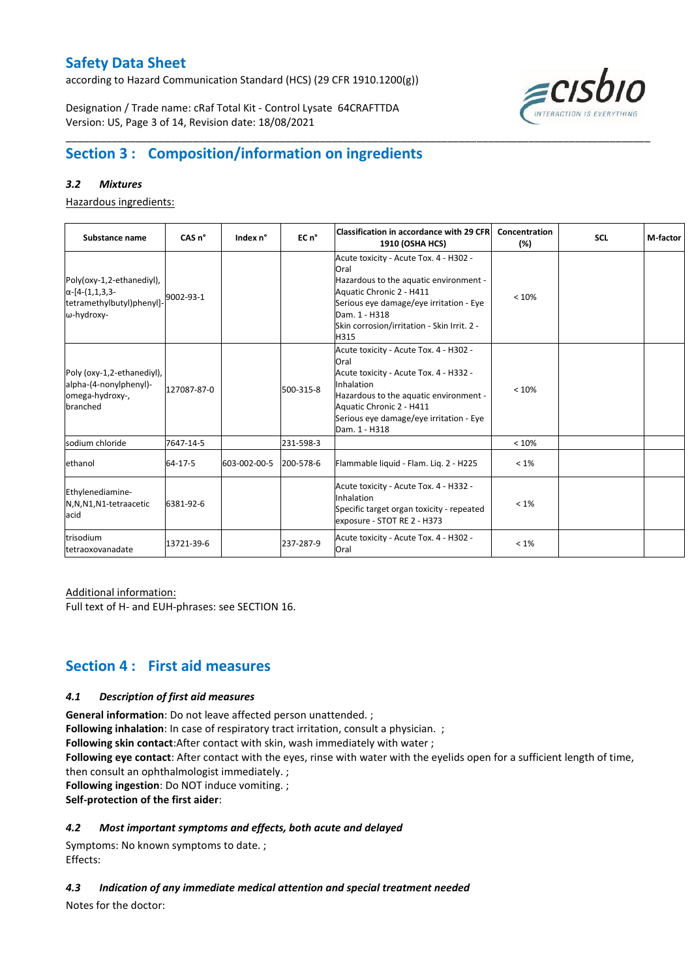according to Hazard Communication Standard (HCS) (29 CFR 1910.1200(g))

Designation / Trade name: cRaf Total Kit - Control Lysate 64CRAFTTDA Version: US, Page 3 of 14, Revision date: 18/08/2021



# **Section 3 : Composition/information on ingredients**

#### *3.2 Mixtures*

Hazardous ingredients:

| Substance name                                                                                 | CAS <sub>n</sub> ° | Index n°     | EC n°     | <b>Classification in accordance with 29 CFR</b><br><b>1910 (OSHA HCS)</b>                                                                                                                                                                | Concentration<br>(%) | <b>SCL</b> | M-factor |
|------------------------------------------------------------------------------------------------|--------------------|--------------|-----------|------------------------------------------------------------------------------------------------------------------------------------------------------------------------------------------------------------------------------------------|----------------------|------------|----------|
| Poly(oxy-1,2-ethanediyl),<br>$\alpha$ -[4-(1,1,3,3-<br>tetramethylbutyl)phenyl]-<br>ω-hydroxy- | 9002-93-1          |              |           | Acute toxicity - Acute Tox. 4 - H302 -<br>Oral<br>Hazardous to the aquatic environment -<br>Aquatic Chronic 2 - H411<br>Serious eye damage/eye irritation - Eye<br>Dam. 1 - H318<br>Skin corrosion/irritation - Skin Irrit. 2 -<br>H315  | < 10%                |            |          |
| Poly (oxy-1,2-ethanediyl),<br>alpha-(4-nonylphenyl)-<br>omega-hydroxy-,<br>branched            | 127087-87-0        |              | 500-315-8 | Acute toxicity - Acute Tox. 4 - H302 -<br>Oral<br>Acute toxicity - Acute Tox. 4 - H332 -<br>Inhalation<br>Hazardous to the aquatic environment -<br>Aquatic Chronic 2 - H411<br>Serious eye damage/eye irritation - Eye<br>Dam. 1 - H318 | < 10%                |            |          |
| sodium chloride                                                                                | 7647-14-5          |              | 231-598-3 |                                                                                                                                                                                                                                          | < 10%                |            |          |
| ethanol                                                                                        | 64-17-5            | 603-002-00-5 | 200-578-6 | Flammable liquid - Flam. Liq. 2 - H225                                                                                                                                                                                                   | $< 1\%$              |            |          |
| Ethylenediamine-<br>N,N,N1,N1-tetraacetic<br>acid                                              | 6381-92-6          |              |           | Acute toxicity - Acute Tox. 4 - H332 -<br>Inhalation<br>Specific target organ toxicity - repeated<br>exposure - STOT RE 2 - H373                                                                                                         | $< 1\%$              |            |          |
| trisodium<br>tetraoxovanadate                                                                  | 13721-39-6         |              | 237-287-9 | Acute toxicity - Acute Tox. 4 - H302 -<br>Oral                                                                                                                                                                                           | $< 1\%$              |            |          |

\_\_\_\_\_\_\_\_\_\_\_\_\_\_\_\_\_\_\_\_\_\_\_\_\_\_\_\_\_\_\_\_\_\_\_\_\_\_\_\_\_\_\_\_\_\_\_\_\_\_\_\_\_\_\_\_\_\_\_\_\_\_\_\_\_\_\_\_\_\_\_\_\_\_\_\_\_\_\_\_\_\_\_\_\_\_\_\_\_\_\_\_\_\_\_\_\_\_\_\_\_

#### Additional information:

Full text of H- and EUH-phrases: see SECTION 16.

### **Section 4 : First aid measures**

#### *4.1 Description of first aid measures*

**General information**: Do not leave affected person unattended. ;

**Following inhalation**: In case of respiratory tract irritation, consult a physician. ;

**Following skin contact**:After contact with skin, wash immediately with water ;

**Following eye contact**: After contact with the eyes, rinse with water with the eyelids open for a sufficient length of time, then consult an ophthalmologist immediately. ;

**Following ingestion**: Do NOT induce vomiting. ;

**Self-protection of the first aider**:

#### *4.2 Most important symptoms and effects, both acute and delayed*

Symptoms: No known symptoms to date. ; Effects:

*4.3 Indication of any immediate medical attention and special treatment needed*

Notes for the doctor: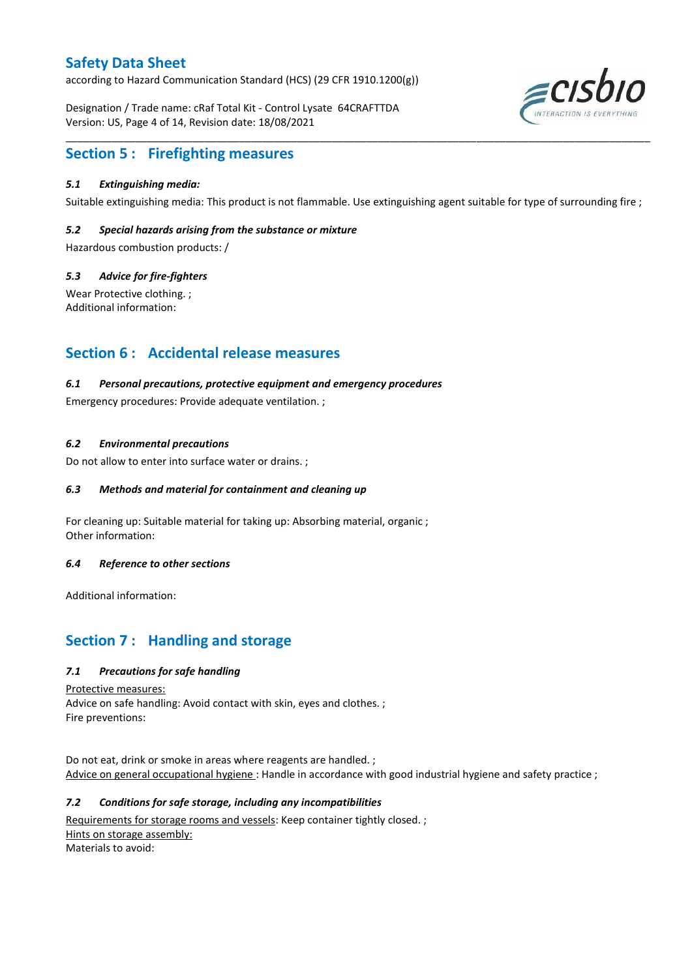according to Hazard Communication Standard (HCS) (29 CFR 1910.1200(g))

Designation / Trade name: cRaf Total Kit - Control Lysate 64CRAFTTDA Version: US, Page 4 of 14, Revision date: 18/08/2021



### **Section 5 : Firefighting measures**

#### *5.1 Extinguishing media:*

Suitable extinguishing media: This product is not flammable. Use extinguishing agent suitable for type of surrounding fire ;

\_\_\_\_\_\_\_\_\_\_\_\_\_\_\_\_\_\_\_\_\_\_\_\_\_\_\_\_\_\_\_\_\_\_\_\_\_\_\_\_\_\_\_\_\_\_\_\_\_\_\_\_\_\_\_\_\_\_\_\_\_\_\_\_\_\_\_\_\_\_\_\_\_\_\_\_\_\_\_\_\_\_\_\_\_\_\_\_\_\_\_\_\_\_\_\_\_\_\_\_\_

#### *5.2 Special hazards arising from the substance or mixture*

Hazardous combustion products: /

#### *5.3 Advice for fire-fighters*

Wear Protective clothing. ; Additional information:

### **Section 6 : Accidental release measures**

#### *6.1 Personal precautions, protective equipment and emergency procedures*

Emergency procedures: Provide adequate ventilation. ;

#### *6.2 Environmental precautions*

Do not allow to enter into surface water or drains. ;

#### *6.3 Methods and material for containment and cleaning up*

For cleaning up: Suitable material for taking up: Absorbing material, organic ; Other information:

#### *6.4 Reference to other sections*

Additional information:

### **Section 7 : Handling and storage**

#### *7.1 Precautions for safe handling*

Protective measures:

Advice on safe handling: Avoid contact with skin, eyes and clothes. ; Fire preventions:

Do not eat, drink or smoke in areas where reagents are handled. ; Advice on general occupational hygiene : Handle in accordance with good industrial hygiene and safety practice ;

#### *7.2 Conditions for safe storage, including any incompatibilities*

Requirements for storage rooms and vessels: Keep container tightly closed.; Hints on storage assembly: Materials to avoid: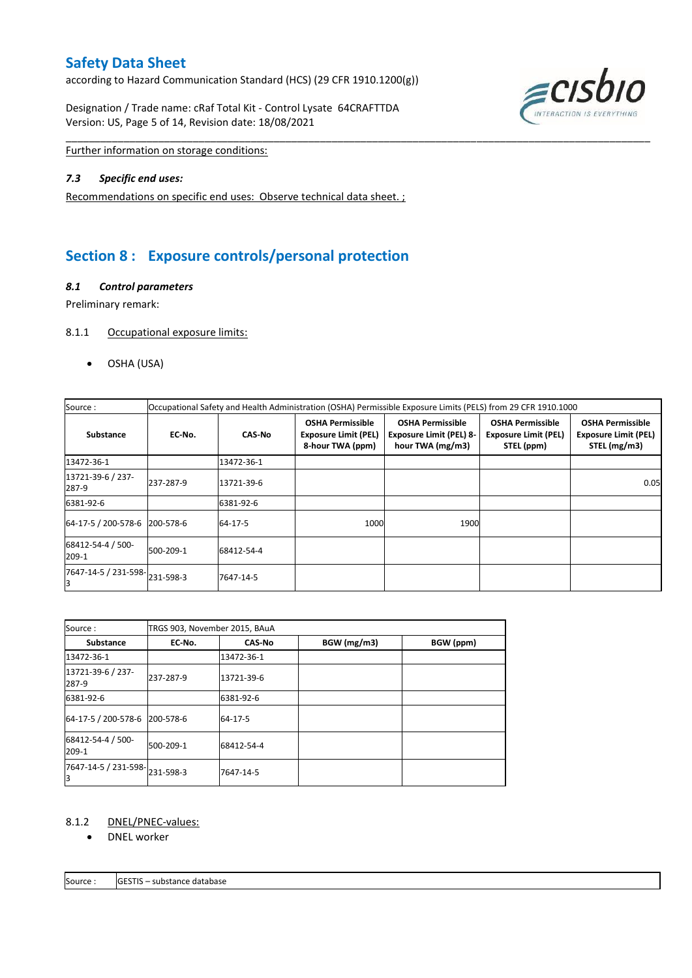according to Hazard Communication Standard (HCS) (29 CFR 1910.1200(g))

Designation / Trade name: cRaf Total Kit - Control Lysate 64CRAFTTDA Version: US, Page 5 of 14, Revision date: 18/08/2021



Further information on storage conditions:

#### *7.3 Specific end uses:*

Recommendations on specific end uses: Observe technical data sheet. ;

# **Section 8 : Exposure controls/personal protection**

#### *8.1 Control parameters*

Preliminary remark:

#### 8.1.1 Occupational exposure limits:

OSHA (USA)

| Source:                       | Occupational Safety and Health Administration (OSHA) Permissible Exposure Limits (PELS) from 29 CFR 1910.1000 |               |                                                                            |                                                                               |                                                                      |                                                                        |  |  |  |  |  |
|-------------------------------|---------------------------------------------------------------------------------------------------------------|---------------|----------------------------------------------------------------------------|-------------------------------------------------------------------------------|----------------------------------------------------------------------|------------------------------------------------------------------------|--|--|--|--|--|
| <b>Substance</b>              | EC No.                                                                                                        | <b>CAS-No</b> | <b>OSHA Permissible</b><br><b>Exposure Limit (PEL)</b><br>8-hour TWA (ppm) | <b>OSHA Permissible</b><br><b>Exposure Limit (PEL) 8-</b><br>hour TWA (mg/m3) | <b>OSHA Permissible</b><br><b>Exposure Limit (PEL)</b><br>STEL (ppm) | <b>OSHA Permissible</b><br><b>Exposure Limit (PEL)</b><br>STEL (mg/m3) |  |  |  |  |  |
| 13472-36-1                    |                                                                                                               | 13472-36-1    |                                                                            |                                                                               |                                                                      |                                                                        |  |  |  |  |  |
| 13721-39-6 / 237-<br>287-9    | 237-287-9                                                                                                     | 13721-39-6    |                                                                            |                                                                               |                                                                      | 0.05                                                                   |  |  |  |  |  |
| 6381-92-6                     |                                                                                                               | 6381-92-6     |                                                                            |                                                                               |                                                                      |                                                                        |  |  |  |  |  |
| 64-17-5 / 200-578-6 200-578-6 |                                                                                                               | 64-17-5       | 1000                                                                       | 1900                                                                          |                                                                      |                                                                        |  |  |  |  |  |
| 68412-54-4 / 500-<br>209-1    | 500-209-1                                                                                                     | 68412-54-4    |                                                                            |                                                                               |                                                                      |                                                                        |  |  |  |  |  |
| 7647-14-5 / 231-598-231-598-3 |                                                                                                               | 7647-14-5     |                                                                            |                                                                               |                                                                      |                                                                        |  |  |  |  |  |

\_\_\_\_\_\_\_\_\_\_\_\_\_\_\_\_\_\_\_\_\_\_\_\_\_\_\_\_\_\_\_\_\_\_\_\_\_\_\_\_\_\_\_\_\_\_\_\_\_\_\_\_\_\_\_\_\_\_\_\_\_\_\_\_\_\_\_\_\_\_\_\_\_\_\_\_\_\_\_\_\_\_\_\_\_\_\_\_\_\_\_\_\_\_\_\_\_\_\_\_\_

| Source:                       | TRGS 903, November 2015, BAuA |               |             |           |
|-------------------------------|-------------------------------|---------------|-------------|-----------|
| <b>Substance</b>              | EC No.                        | <b>CAS-No</b> | BGW (mg/m3) | BGW (ppm) |
| 13472-36-1                    |                               | 13472-36-1    |             |           |
| 13721-39-6 / 237-<br>287-9    | 237-287-9                     | 13721-39-6    |             |           |
| 6381-92-6                     |                               | 6381-92-6     |             |           |
| 64-17-5 / 200-578-6 200-578-6 |                               | 64-17-5       |             |           |
| 68412-54-4 / 500-<br>209-1    | 500-209-1                     | 68412-54-4    |             |           |
| 7647-14-5 / 231-598-<br>з     | 231-598-3                     | 7647-14-5     |             |           |

#### 8.1.2 DNEL/PNEC-values:

• DNEL worker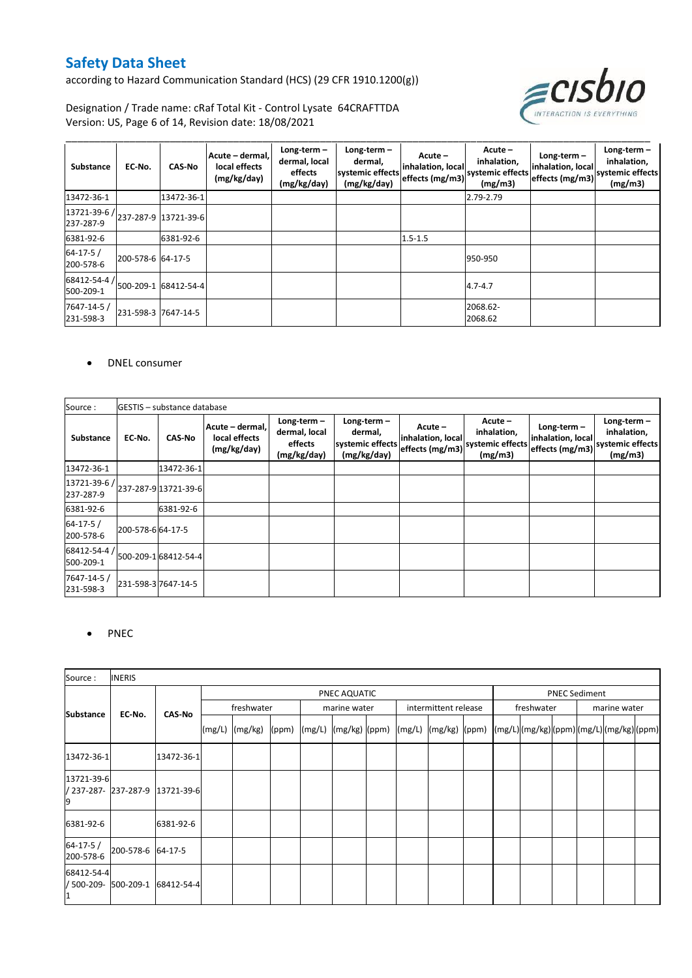according to Hazard Communication Standard (HCS) (29 CFR 1910.1200(g))



Designation / Trade name: cRaf Total Kit - Control Lysate 64CRAFTTDA Version: US, Page 6 of 14, Revision date: 18/08/2021

| Substance                                                                                                                            | EC-No.              | <b>CAS-No</b> | Acute - dermal,<br>local effects<br>(mg/kg/day) | Long-term $-$<br>dermal, local<br>effects<br>(mg/kg/day) | Long-term $-$<br>dermal,<br>systemic effects<br>(mg/kg/day) | Acute-<br>inhalation, local<br>effects (mg/m3) | Acute -<br>inhalation,<br>systemic effects<br>(mg/m3) | Long-term $-$<br>inhalation, local<br>effects (mg/m3) systemic effects | Long-term $-$<br>inhalation,<br>(mg/m3) |
|--------------------------------------------------------------------------------------------------------------------------------------|---------------------|---------------|-------------------------------------------------|----------------------------------------------------------|-------------------------------------------------------------|------------------------------------------------|-------------------------------------------------------|------------------------------------------------------------------------|-----------------------------------------|
| 13472-36-1                                                                                                                           |                     | 13472-36-1    |                                                 |                                                          |                                                             |                                                | 2.79-2.79                                             |                                                                        |                                         |
| $\left  \frac{13721 \cdot 39 \cdot 6}{237 \cdot 287 \cdot 9} \cdot \right  \right  13721 \cdot 39 \cdot 6$<br>237-287-9              |                     |               |                                                 |                                                          |                                                             |                                                |                                                       |                                                                        |                                         |
| 6381-92-6                                                                                                                            |                     | 6381-92-6     |                                                 |                                                          |                                                             | $1.5 - 1.5$                                    |                                                       |                                                                        |                                         |
| $64 - 17 - 5/$<br>200-578-6                                                                                                          | 200-578-6 64-17-5   |               |                                                 |                                                          |                                                             |                                                | 950-950                                               |                                                                        |                                         |
| $\left. 68412 \hbox{-} 54 \hbox{-} 4 \right/ \hbox{\small\rm 500-209-1} \; \left  68412 \hbox{-} 54 \hbox{-} 4 \right $<br>500-209-1 |                     |               |                                                 |                                                          |                                                             |                                                | $4.7 - 4.7$                                           |                                                                        |                                         |
| 7647-14-5 /<br>231-598-3                                                                                                             | 231-598-3 7647-14-5 |               |                                                 |                                                          |                                                             |                                                | 2068.62-<br>2068.62                                   |                                                                        |                                         |

#### DNEL consumer

| Source:                     |                   | GESTIS - substance database |                                                 |                                                          |                                                             |                                                 |                                                         |                                                       |                                                             |
|-----------------------------|-------------------|-----------------------------|-------------------------------------------------|----------------------------------------------------------|-------------------------------------------------------------|-------------------------------------------------|---------------------------------------------------------|-------------------------------------------------------|-------------------------------------------------------------|
| <b>Substance</b>            | EC-No.            | CAS-No                      | Acute - dermal,<br>local effects<br>(mg/kg/day) | Long-term $-$<br>dermal, local<br>effects<br>(mg/kg/day) | Long-term $-$<br>dermal,<br>systemic effects<br>(mg/kg/day) | Acute –<br>inhalation, local<br>effects (mg/m3) | $Acute -$<br>inhalation,<br>systemic effects<br>(mg/m3) | $Long-term -$<br>inhalation, local<br>effects (mg/m3) | Long-term $-$<br>inhalation,<br>systemic effects<br>(mg/m3) |
| 13472-36-1                  |                   | 13472-36-1                  |                                                 |                                                          |                                                             |                                                 |                                                         |                                                       |                                                             |
| 13721-39-6 /<br>237-287-9   |                   | 237-287-9 13721-39-6        |                                                 |                                                          |                                                             |                                                 |                                                         |                                                       |                                                             |
| 6381-92-6                   |                   | 6381-92-6                   |                                                 |                                                          |                                                             |                                                 |                                                         |                                                       |                                                             |
| $64 - 17 - 5/$<br>200-578-6 | 200-578-6 64-17-5 |                             |                                                 |                                                          |                                                             |                                                 |                                                         |                                                       |                                                             |
| 68412-54-4<br>500-209-1     |                   | 500-209-1 68412-54-4        |                                                 |                                                          |                                                             |                                                 |                                                         |                                                       |                                                             |
| 7647-14-5 /<br>231-598-3    |                   | 231-598-37647-14-5          |                                                 |                                                          |                                                             |                                                 |                                                         |                                                       |                                                             |

#### • PNEC

| Source:                     | <b>INERIS</b>                   |            |                    |  |  |              |  |                      |                                                                                                                                 |  |            |  |                      |              |                                             |  |  |  |
|-----------------------------|---------------------------------|------------|--------------------|--|--|--------------|--|----------------------|---------------------------------------------------------------------------------------------------------------------------------|--|------------|--|----------------------|--------------|---------------------------------------------|--|--|--|
|                             |                                 |            | PNEC AQUATIC       |  |  |              |  |                      |                                                                                                                                 |  |            |  | <b>PNEC Sediment</b> |              |                                             |  |  |  |
| <b>Substance</b>            | EC-No.<br><b>CAS-No</b>         |            | freshwater         |  |  | marine water |  | intermittent release |                                                                                                                                 |  | freshwater |  |                      | marine water |                                             |  |  |  |
|                             |                                 |            | $(mg/L)$ $(mg/kg)$ |  |  |              |  |                      | $\lceil (ppm) \rceil \lceil (mg/L) \rceil \lceil (mg/kg) \rceil \lceil (mg/L) \rceil \lceil (mg/kg) \rceil \lceil (ppm) \rceil$ |  |            |  |                      |              | $(mg/L)$ (mg/kg) (ppm) (mg/L) (mg/kg) (ppm) |  |  |  |
| 13472-36-1                  |                                 | 13472-36-1 |                    |  |  |              |  |                      |                                                                                                                                 |  |            |  |                      |              |                                             |  |  |  |
| 13721-39-6<br>19            | / 237-287- 237-287-9 13721-39-6 |            |                    |  |  |              |  |                      |                                                                                                                                 |  |            |  |                      |              |                                             |  |  |  |
| 6381-92-6                   |                                 | 6381-92-6  |                    |  |  |              |  |                      |                                                                                                                                 |  |            |  |                      |              |                                             |  |  |  |
| $64 - 17 - 5/$<br>200-578-6 | 200-578-6 64-17-5               |            |                    |  |  |              |  |                      |                                                                                                                                 |  |            |  |                      |              |                                             |  |  |  |
| 68412-54-4                  | / 500-209- 500-209-1 68412-54-4 |            |                    |  |  |              |  |                      |                                                                                                                                 |  |            |  |                      |              |                                             |  |  |  |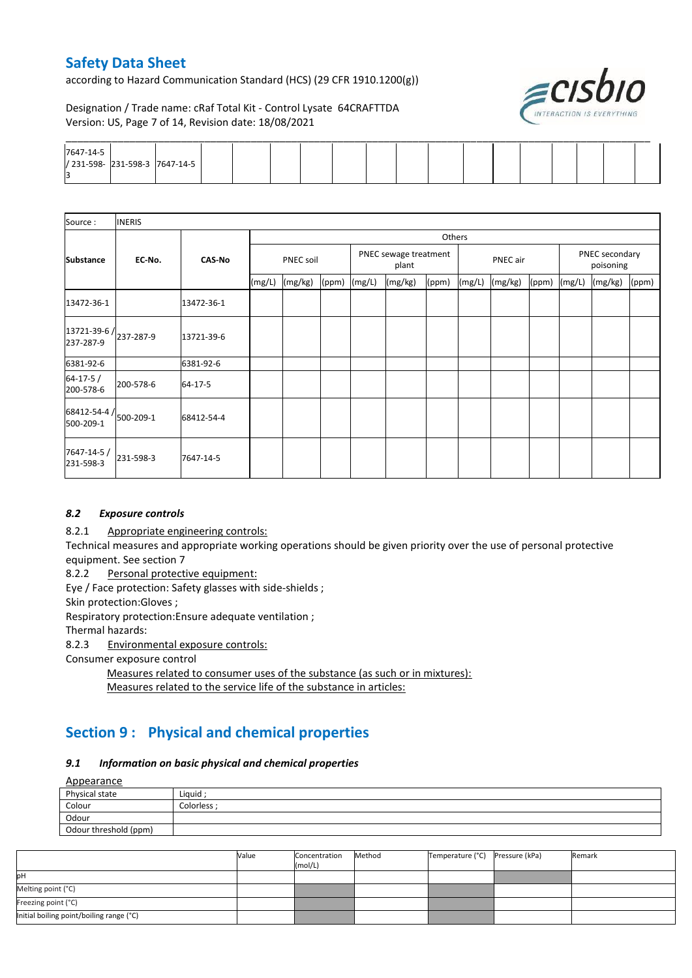according to Hazard Communication Standard (HCS) (29 CFR 1910.1200(g))



Designation / Trade name: cRaf Total Kit - Control Lysate 64CRAFTTDA Version: US, Page 7 of 14, Revision date: 18/08/2021

| 7647-14-5<br>/ 231-598- 231-598-3 7647-14-5 |  |  |  |  |  |  |  |  |  |
|---------------------------------------------|--|--|--|--|--|--|--|--|--|
|                                             |  |  |  |  |  |  |  |  |  |

| Source:                                         | <b>INERIS</b> |               |           |         |       |        |                                |        |        |          |       |                             |         |       |
|-------------------------------------------------|---------------|---------------|-----------|---------|-------|--------|--------------------------------|--------|--------|----------|-------|-----------------------------|---------|-------|
|                                                 |               |               |           |         |       |        |                                | Others |        |          |       |                             |         |       |
| <b>Substance</b>                                | EC No.        | <b>CAS-No</b> | PNEC soil |         |       |        | PNEC sewage treatment<br>plant |        |        | PNEC air |       | PNEC secondary<br>poisoning |         |       |
|                                                 |               |               | (mg/L)    | (mg/kg) | (ppm) | (mg/L) | (mg/kg)                        | (ppm)  | (mg/L) | (mg/kg)  | (ppm) | (mg/L)                      | (mg/kg) | (ppm) |
| 13472-36-1                                      |               | 13472-36-1    |           |         |       |        |                                |        |        |          |       |                             |         |       |
| $13721 - 39 - 6$ / $237 - 287 - 9$<br>237-287-9 |               | 13721-39-6    |           |         |       |        |                                |        |        |          |       |                             |         |       |
| 6381-92-6                                       |               | 6381-92-6     |           |         |       |        |                                |        |        |          |       |                             |         |       |
| $64 - 17 - 5/$<br>200-578-6                     | 200-578-6     | 64-17-5       |           |         |       |        |                                |        |        |          |       |                             |         |       |
| $68412 - 54 - 4$ / $500 - 209 - 1$<br>500-209-1 |               | 68412-54-4    |           |         |       |        |                                |        |        |          |       |                             |         |       |
| 7647-14-5 /<br>231-598-3                        | 231-598-3     | 7647-14-5     |           |         |       |        |                                |        |        |          |       |                             |         |       |

#### *8.2 Exposure controls*

8.2.1 Appropriate engineering controls:

Technical measures and appropriate working operations should be given priority over the use of personal protective equipment. See section 7

8.2.2 Personal protective equipment:

Eye / Face protection: Safety glasses with side-shields ;

Skin protection:Gloves ;

Respiratory protection:Ensure adequate ventilation ;

Thermal hazards:

8.2.3 Environmental exposure controls:

Consumer exposure control

Measures related to consumer uses of the substance (as such or in mixtures): Measures related to the service life of the substance in articles:

# **Section 9 : Physical and chemical properties**

#### *9.1 Information on basic physical and chemical properties*

**Annearance** 

| <b>Appearance</b>     |             |
|-----------------------|-------------|
| Physical state        | Liquid ·    |
| Colour                | Colorless : |
| Odour                 |             |
| Odour threshold (ppm) |             |

|                                          | Value | Concentration<br>(mol/L) | Method | Temperature (°C) | Pressure (kPa) | Remark |
|------------------------------------------|-------|--------------------------|--------|------------------|----------------|--------|
| IрН                                      |       |                          |        |                  |                |        |
| Melting point (°C)                       |       |                          |        |                  |                |        |
| Freezing point (°C)                      |       |                          |        |                  |                |        |
| Initial boiling point/boiling range (°C) |       |                          |        |                  |                |        |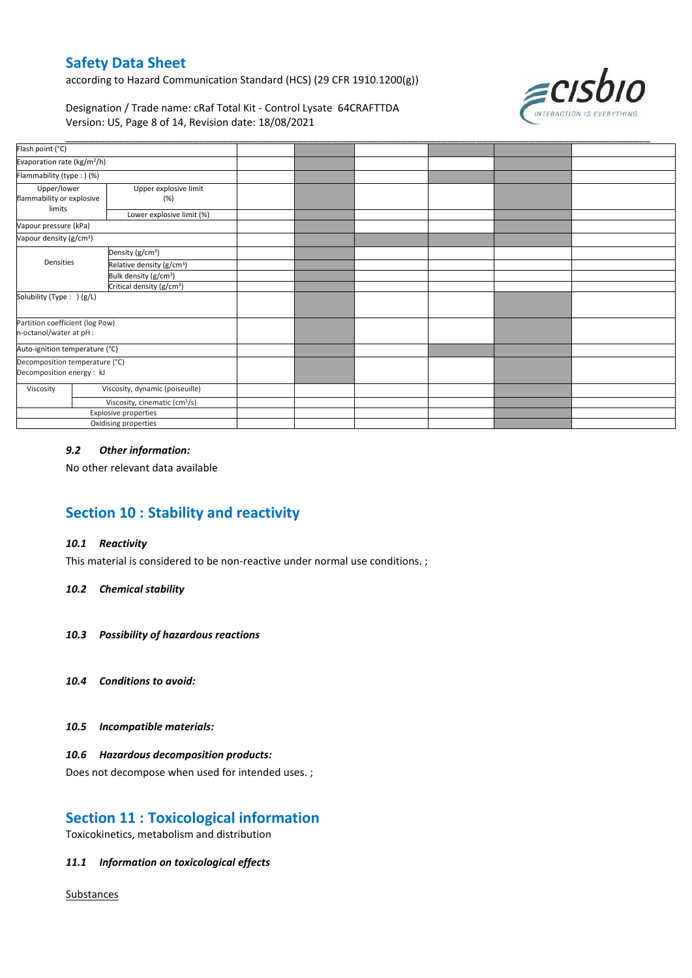according to Hazard Communication Standard (HCS) (29 CFR 1910.1200(g))



Designation / Trade name: cRaf Total Kit - Control Lysate 64CRAFTTDA Version: US, Page 8 of 14, Revision date: 18/08/2021

| Evaporation rate (kg/m <sup>2</sup> /h)                                  |                  |  |  |  |
|--------------------------------------------------------------------------|------------------|--|--|--|
| Flammability (type:) (%)                                                 |                  |  |  |  |
| Upper/lower<br>Upper explosive limit<br>flammability or explosive<br>(%) |                  |  |  |  |
| Lower explosive limit (%)                                                |                  |  |  |  |
| Vapour pressure (kPa)                                                    |                  |  |  |  |
| Vapour density (g/cm <sup>3</sup> )                                      |                  |  |  |  |
| Density (g/cm <sup>3</sup> )                                             |                  |  |  |  |
| Relative density (g/cm <sup>3</sup> )                                    |                  |  |  |  |
| Bulk density (g/cm <sup>3</sup> )                                        |                  |  |  |  |
| Critical density (g/cm <sup>3</sup> )                                    |                  |  |  |  |
| Solubility (Type: ) (g/L)                                                |                  |  |  |  |
| Partition coefficient (log Pow)                                          |                  |  |  |  |
| n-octanol/water at pH :                                                  |                  |  |  |  |
| Auto-ignition temperature (°C)                                           |                  |  |  |  |
| Decomposition temperature (°C)                                           |                  |  |  |  |
| Decomposition energy : kJ                                                |                  |  |  |  |
| Viscosity, dynamic (poiseuille)                                          |                  |  |  |  |
| Viscosity, cinematic (cm <sup>3</sup> /s)                                |                  |  |  |  |
| Explosive properties                                                     |                  |  |  |  |
| Oxidising properties                                                     |                  |  |  |  |
|                                                                          | <b>Densities</b> |  |  |  |

#### *9.2 Other information:*

No other relevant data available

### **Section 10 : Stability and reactivity**

#### *10.1 Reactivity*

This material is considered to be non-reactive under normal use conditions. ;

#### *10.2 Chemical stability*

- *10.3 Possibility of hazardous reactions*
- *10.4 Conditions to avoid:*
- *10.5 Incompatible materials:*

#### *10.6 Hazardous decomposition products:*

Does not decompose when used for intended uses. ;

### **Section 11 : Toxicological information**

Toxicokinetics, metabolism and distribution

#### *11.1 Information on toxicological effects*

**Substances**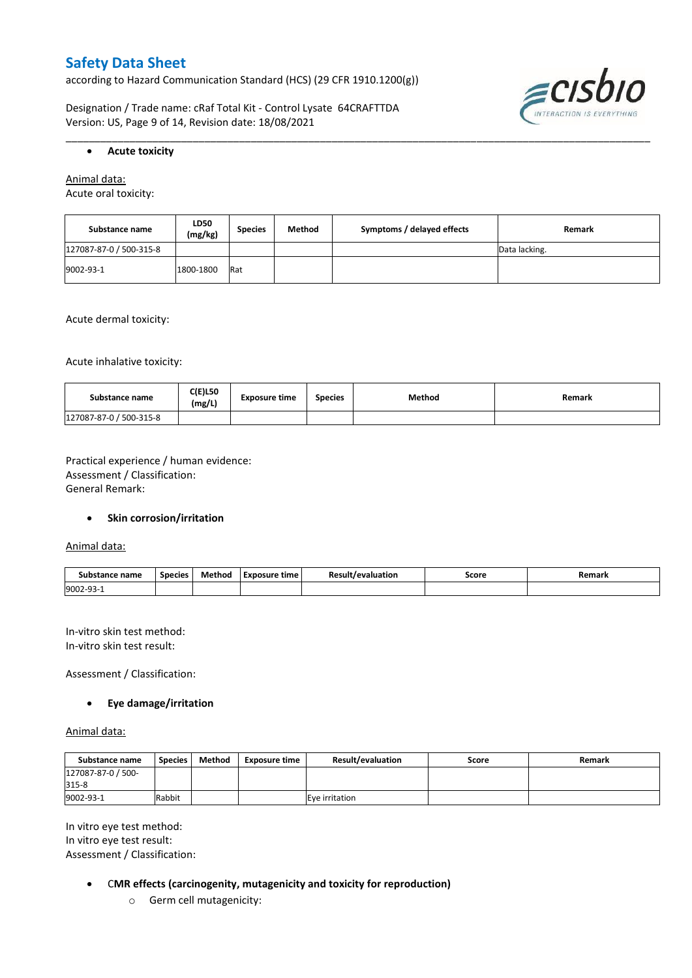according to Hazard Communication Standard (HCS) (29 CFR 1910.1200(g))

Designation / Trade name: cRaf Total Kit - Control Lysate 64CRAFTTDA Version: US, Page 9 of 14, Revision date: 18/08/2021



#### **Acute toxicity**

Animal data:

Acute oral toxicity:

| Substance name          | <b>LD50</b><br>(mg/kg) | <b>Species</b> | Method | Symptoms / delayed effects | Remark        |
|-------------------------|------------------------|----------------|--------|----------------------------|---------------|
| 127087-87-0 / 500-315-8 |                        |                |        |                            | Data lacking. |
| 9002-93-1               | 1800-1800              | Rat            |        |                            |               |

\_\_\_\_\_\_\_\_\_\_\_\_\_\_\_\_\_\_\_\_\_\_\_\_\_\_\_\_\_\_\_\_\_\_\_\_\_\_\_\_\_\_\_\_\_\_\_\_\_\_\_\_\_\_\_\_\_\_\_\_\_\_\_\_\_\_\_\_\_\_\_\_\_\_\_\_\_\_\_\_\_\_\_\_\_\_\_\_\_\_\_\_\_\_\_\_\_\_\_\_\_

Acute dermal toxicity:

Acute inhalative toxicity:

| Substance name          | <b>C(E)L50</b><br>(mg/L) | <b>Exposure time</b> | <b>Species</b> | <b>Method</b> | Remark |
|-------------------------|--------------------------|----------------------|----------------|---------------|--------|
| 127087-87-0 / 500-315-8 |                          |                      |                |               |        |

Practical experience / human evidence: Assessment / Classification: General Remark:

#### **•** Skin corrosion/irritation

Animal data:

| Substance name | <b>Species</b> | Method | - -<br>Exposure<br>time | Result<br>evaluation/ | Score | Remark |
|----------------|----------------|--------|-------------------------|-----------------------|-------|--------|
| 9002-93-1      |                |        |                         |                       |       |        |

In-vitro skin test method: In-vitro skin test result:

Assessment / Classification:

#### **Eye damage/irritation**

Animal data:

| Substance name              | <b>Species</b> | Method | <b>Exposure time</b> | <b>Result/evaluation</b> | Score | Remark |
|-----------------------------|----------------|--------|----------------------|--------------------------|-------|--------|
| 127087-87-0 / 500-<br>315-8 |                |        |                      |                          |       |        |
| 9002-93-1                   | Rabbit         |        |                      | Eve irritation           |       |        |

In vitro eye test method: In vitro eye test result: Assessment / Classification:

- C**MR effects (carcinogenity, mutagenicity and toxicity for reproduction)**
	- o Germ cell mutagenicity: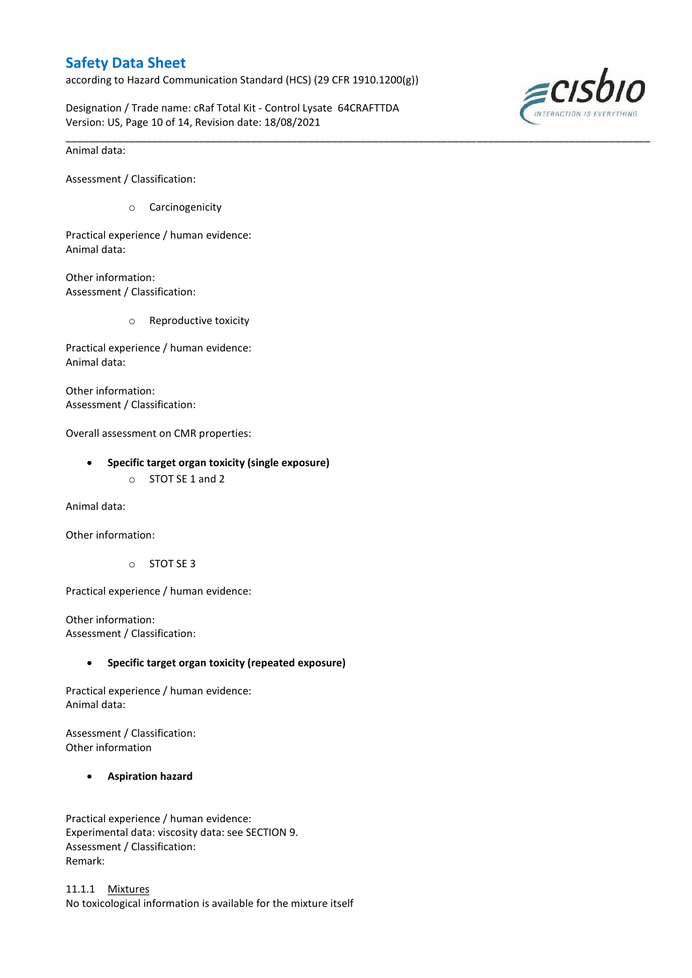according to Hazard Communication Standard (HCS) (29 CFR 1910.1200(g))

\_\_\_\_\_\_\_\_\_\_\_\_\_\_\_\_\_\_\_\_\_\_\_\_\_\_\_\_\_\_\_\_\_\_\_\_\_\_\_\_\_\_\_\_\_\_\_\_\_\_\_\_\_\_\_\_\_\_\_\_\_\_\_\_\_\_\_\_\_\_\_\_\_\_\_\_\_\_\_\_\_\_\_\_\_\_\_\_\_\_\_\_\_\_\_\_\_\_\_\_\_

Designation / Trade name: cRaf Total Kit - Control Lysate 64CRAFTTDA Version: US, Page 10 of 14, Revision date: 18/08/2021



Animal data:

Assessment / Classification:

o Carcinogenicity

Practical experience / human evidence: Animal data:

Other information: Assessment / Classification:

o Reproductive toxicity

Practical experience / human evidence: Animal data:

Other information: Assessment / Classification:

Overall assessment on CMR properties:

#### **Specific target organ toxicity (single exposure)**

o STOT SE 1 and 2

Animal data:

Other information:

o STOT SE 3

Practical experience / human evidence:

Other information: Assessment / Classification:

#### **Specific target organ toxicity (repeated exposure)**

Practical experience / human evidence: Animal data:

Assessment / Classification: Other information

#### **Aspiration hazard**

Practical experience / human evidence: Experimental data: viscosity data: see SECTION 9. Assessment / Classification: Remark:

11.1.1 Mixtures No toxicological information is available for the mixture itself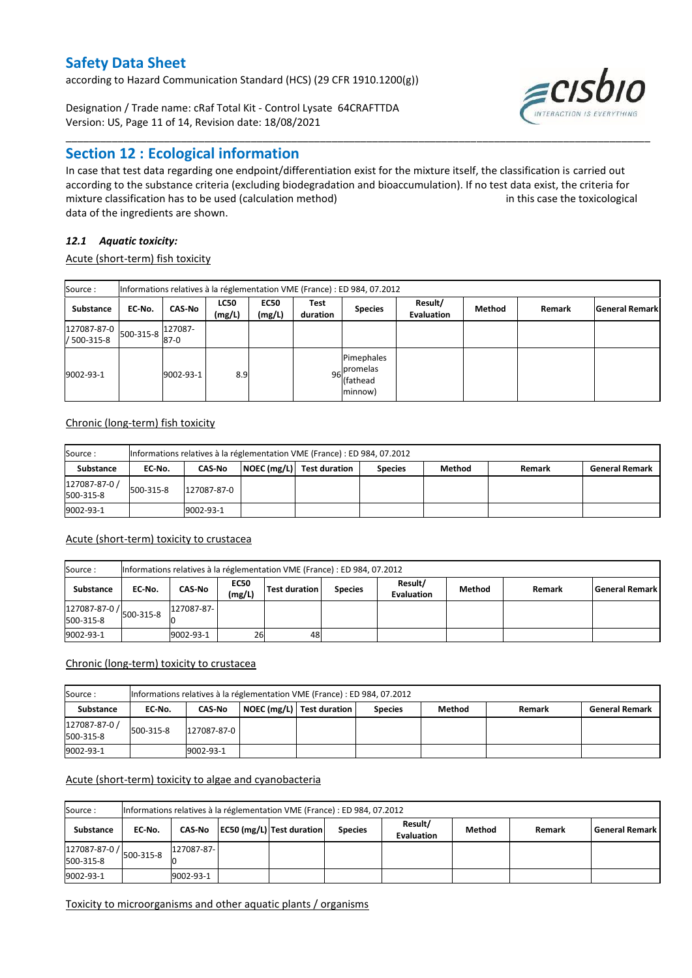according to Hazard Communication Standard (HCS) (29 CFR 1910.1200(g))

Designation / Trade name: cRaf Total Kit - Control Lysate 64CRAFTTDA Version: US, Page 11 of 14, Revision date: 18/08/2021

### **Section 12 : Ecological information**

In case that test data regarding one endpoint/differentiation exist for the mixture itself, the classification is carried out according to the substance criteria (excluding biodegradation and bioaccumulation). If no test data exist, the criteria for mixture classification has to be used (calculation method) in this case the toxicological data of the ingredients are shown.

\_\_\_\_\_\_\_\_\_\_\_\_\_\_\_\_\_\_\_\_\_\_\_\_\_\_\_\_\_\_\_\_\_\_\_\_\_\_\_\_\_\_\_\_\_\_\_\_\_\_\_\_\_\_\_\_\_\_\_\_\_\_\_\_\_\_\_\_\_\_\_\_\_\_\_\_\_\_\_\_\_\_\_\_\_\_\_\_\_\_\_\_\_\_\_\_\_\_\_\_\_

### *12.1 Aquatic toxicity:*

Acute (short-term) fish toxicity

| Source:                                         | Informations relatives à la réglementation VME (France) : ED 984, 07.2012 |                   |                       |                       |                  |                                                  |                              |        |        |                       |  |  |
|-------------------------------------------------|---------------------------------------------------------------------------|-------------------|-----------------------|-----------------------|------------------|--------------------------------------------------|------------------------------|--------|--------|-----------------------|--|--|
| Substance                                       | EC No.                                                                    | <b>CAS-No</b>     | <b>LC50</b><br>(mg/L) | <b>EC50</b><br>(mg/L) | Test<br>duration | <b>Species</b>                                   | Result/<br><b>Evaluation</b> | Method | Remark | <b>General Remark</b> |  |  |
| $127087 - 87 - 0$ 500-315-8 $11$<br>/ 500-315-8 |                                                                           | 127087-<br>$87-0$ |                       |                       |                  |                                                  |                              |        |        |                       |  |  |
| 9002-93-1                                       |                                                                           | 9002-93-1         | 8.9                   |                       |                  | Pimephales<br>96 promelas<br>(fathead<br>minnow) |                              |        |        |                       |  |  |

#### Chronic (long-term) fish toxicity

| Source :                   | Informations relatives à la réglementation VME (France) : ED 984, 07.2012 |               |  |                           |                |        |        |                       |  |  |  |  |
|----------------------------|---------------------------------------------------------------------------|---------------|--|---------------------------|----------------|--------|--------|-----------------------|--|--|--|--|
| <b>Substance</b>           | EC No.                                                                    | <b>CAS-No</b> |  | NOEC (mg/L) Test duration | <b>Species</b> | Method | Remark | <b>General Remark</b> |  |  |  |  |
| 127087-87-0 /<br>500-315-8 | 500-315-8                                                                 | 127087-87-0   |  |                           |                |        |        |                       |  |  |  |  |
| 9002-93-1                  |                                                                           | 9002-93-1     |  |                           |                |        |        |                       |  |  |  |  |

#### Acute (short-term) toxicity to crustacea

| Source:                                             | Informations relatives à la réglementation VME (France) : ED 984, 07.2012 |            |                       |               |                |                       |        |        |                    |  |  |  |
|-----------------------------------------------------|---------------------------------------------------------------------------|------------|-----------------------|---------------|----------------|-----------------------|--------|--------|--------------------|--|--|--|
| Substance                                           | EC No.                                                                    | CAS-No     | <b>EC50</b><br>(mg/L) | Test duration | <b>Species</b> | Result/<br>Evaluation | Method | Remark | l General Remark l |  |  |  |
| $127087 - 87 - 0$ /<br>500-315-8 $127$<br>500-315-8 |                                                                           | 127087-87- |                       |               |                |                       |        |        |                    |  |  |  |
| 9002-93-1                                           |                                                                           | 9002-93-1  | 26                    | 48            |                |                       |        |        |                    |  |  |  |

#### Chronic (long-term) toxicity to crustacea

| Source:                    |           | Informations relatives à la réglementation VME (France) : ED 984, 07.2012 |  |                             |                |        |        |                       |  |  |  |  |  |
|----------------------------|-----------|---------------------------------------------------------------------------|--|-----------------------------|----------------|--------|--------|-----------------------|--|--|--|--|--|
| Substance                  | EC No.    | <b>CAS No</b>                                                             |  | NOEC (mg/L)   Test duration | <b>Species</b> | Method | Remark | <b>General Remark</b> |  |  |  |  |  |
| 127087-87-0 /<br>500-315-8 | 500-315-8 | 127087-87-0                                                               |  |                             |                |        |        |                       |  |  |  |  |  |
| 9002-93-1                  |           | 9002-93-1                                                                 |  |                             |                |        |        |                       |  |  |  |  |  |

#### Acute (short-term) toxicity to algae and cyanobacteria

| Source:                    | Informations relatives à la réglementation VME (France) : ED 984, 07.2012 |            |  |                                    |                |                              |        |        |                       |  |  |  |  |
|----------------------------|---------------------------------------------------------------------------|------------|--|------------------------------------|----------------|------------------------------|--------|--------|-----------------------|--|--|--|--|
| Substance                  | EC No.                                                                    |            |  | CAS-No   EC50 (mg/L) Test duration | <b>Species</b> | Result/<br><b>Evaluation</b> | Method | Remark | <b>General Remark</b> |  |  |  |  |
| 127087-87-0 /<br>500-315-8 | 500-315-8                                                                 | 127087-87- |  |                                    |                |                              |        |        |                       |  |  |  |  |
| 9002-93-1                  |                                                                           | 9002-93-1  |  |                                    |                |                              |        |        |                       |  |  |  |  |

#### Toxicity to microorganisms and other aquatic plants / organisms

*≡cisbio*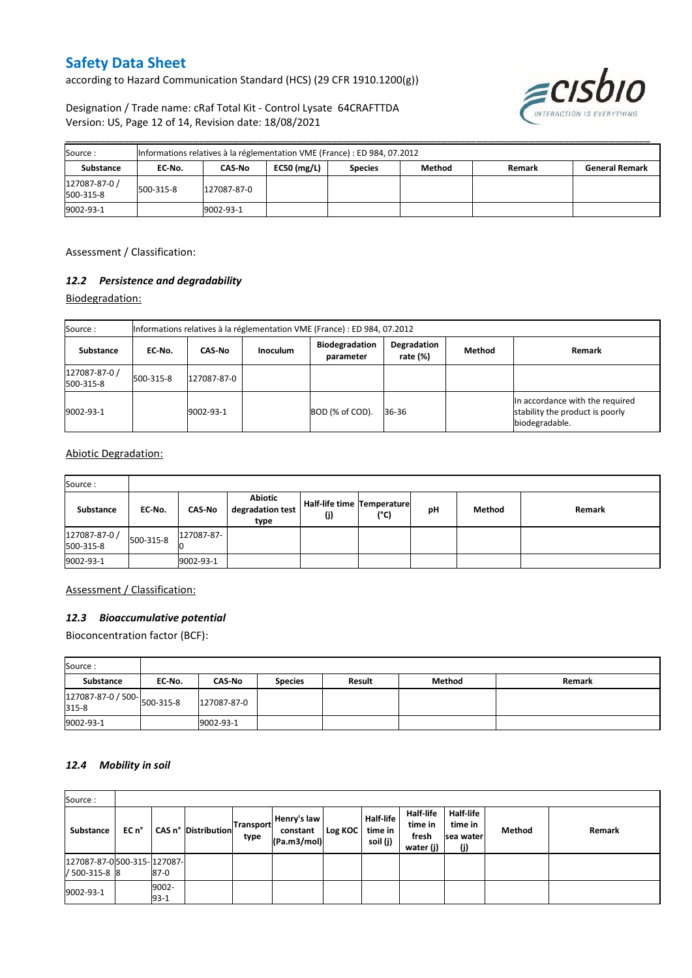according to Hazard Communication Standard (HCS) (29 CFR 1910.1200(g))



Designation / Trade name: cRaf Total Kit - Control Lysate 64CRAFTTDA Version: US, Page 12 of 14, Revision date: 18/08/2021

| Source:                    | Informations relatives à la réglementation VME (France) : ED 984, 07.2012 |             |               |                |        |        |                       |  |  |  |  |
|----------------------------|---------------------------------------------------------------------------|-------------|---------------|----------------|--------|--------|-----------------------|--|--|--|--|
| Substance                  | EC No.                                                                    | CAS-No      | EC50 $(mg/L)$ | <b>Species</b> | Method | Remark | <b>General Remark</b> |  |  |  |  |
| 127087-87-0 /<br>500-315-8 | 500-315-8                                                                 | 127087-87-0 |               |                |        |        |                       |  |  |  |  |
| 9002-93-1                  |                                                                           | 9002-93-1   |               |                |        |        |                       |  |  |  |  |

\_\_\_\_\_\_\_\_\_\_\_\_\_\_\_\_\_\_\_\_\_\_\_\_\_\_\_\_\_\_\_\_\_\_\_\_\_\_\_\_\_\_\_\_\_\_\_\_\_\_\_\_\_\_\_\_\_\_\_\_\_\_\_\_\_\_\_\_\_\_\_\_\_\_\_\_\_\_\_\_\_\_\_\_\_\_\_\_\_\_\_\_\_\_\_\_\_\_\_\_\_

Assessment / Classification:

#### *12.2 Persistence and degradability*

Biodegradation:

| Source:                    |           | Informations relatives à la réglementation VME (France) : ED 984, 07.2012 |                 |                                    |                         |        |                                                                                      |  |
|----------------------------|-----------|---------------------------------------------------------------------------|-----------------|------------------------------------|-------------------------|--------|--------------------------------------------------------------------------------------|--|
| <b>Substance</b>           | EC No.    | <b>CAS-No</b>                                                             | <b>Inoculum</b> | <b>Biodegradation</b><br>parameter | Degradation<br>rate (%) | Method | Remark                                                                               |  |
| 127087-87-0 /<br>500-315-8 | 500-315-8 | 127087-87-0                                                               |                 |                                    |                         |        |                                                                                      |  |
| 9002-93-1                  |           | 9002-93-1                                                                 |                 | BOD (% of COD).                    | 36-36                   |        | In accordance with the required<br>stability the product is poorly<br>biodegradable. |  |

#### Abiotic Degradation:

| Source:                    |           |               |                                     |                                   |      |    |        |        |
|----------------------------|-----------|---------------|-------------------------------------|-----------------------------------|------|----|--------|--------|
| Substance                  | EC-No.    | <b>CAS-No</b> | Abiotic<br>degradation test<br>type | Half-life time Temperature<br>(i) | (°C) | pH | Method | Remark |
| 127087-87-0 /<br>500-315-8 | 500-315-8 | 127087-87-    |                                     |                                   |      |    |        |        |
| 9002-93-1                  |           | 9002-93-1     |                                     |                                   |      |    |        |        |

#### Assessment / Classification:

#### *12.3 Bioaccumulative potential*

Bioconcentration factor (BCF):

| Source:                              |        |               |                |        |        |        |
|--------------------------------------|--------|---------------|----------------|--------|--------|--------|
| Substance                            | EC No. | <b>CAS-No</b> | <b>Species</b> | Result | Method | Remark |
| 127087-87-0 / 500-<br>315-8<br>315-8 |        | 127087-87-0   |                |        |        |        |
| 9002-93-1                            |        | 9002-93-1     |                |        |        |        |

#### *12.4 Mobility in soil*

| Source:                                     |       |                 |                            |                   |                                        |         |                                  |                                                   |                                           |        |        |
|---------------------------------------------|-------|-----------------|----------------------------|-------------------|----------------------------------------|---------|----------------------------------|---------------------------------------------------|-------------------------------------------|--------|--------|
| Substance                                   | EC n° |                 | <b>CAS n° Distribution</b> | Transport<br>type | Henry's law<br>constant<br>(Pa.m3/mol) | Log KOC | Half-life<br>time in<br>soil (j) | <b>Half-life</b><br>time in<br>fresh<br>water (j) | Half-life<br>time in<br>Isea water<br>(j) | Method | Remark |
| 127087-87-0500-315-127087-<br>/ 500-315-8 8 |       | $87-0$          |                            |                   |                                        |         |                                  |                                                   |                                           |        |        |
| 9002-93-1                                   |       | 9002-<br>$93-1$ |                            |                   |                                        |         |                                  |                                                   |                                           |        |        |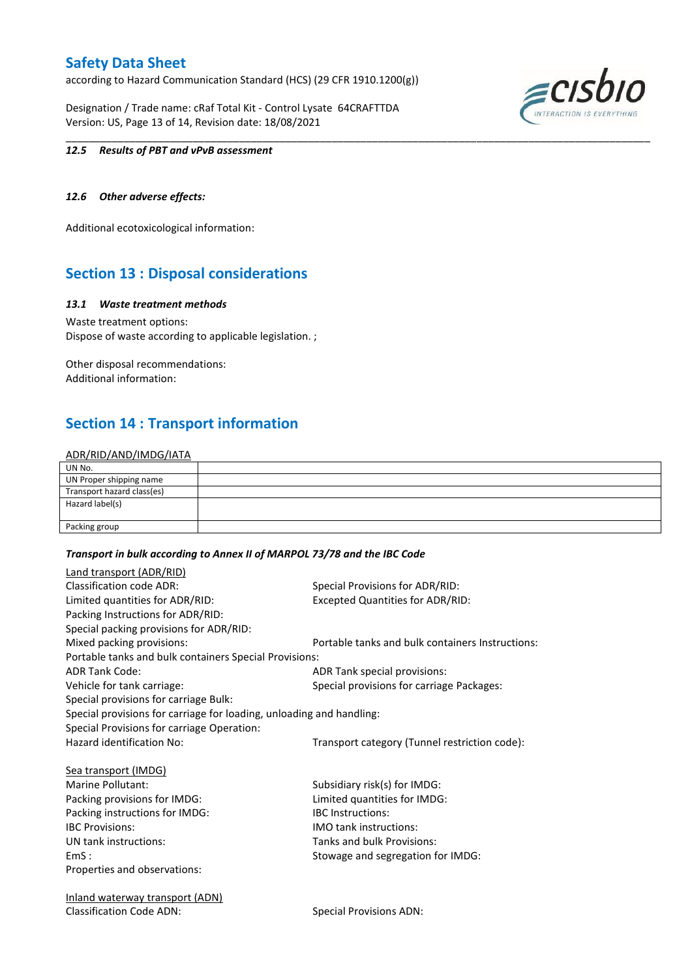according to Hazard Communication Standard (HCS) (29 CFR 1910.1200(g))

Designation / Trade name: cRaf Total Kit - Control Lysate 64CRAFTTDA Version: US, Page 13 of 14, Revision date: 18/08/2021



#### *12.5 Results of PBT and vPvB assessment*

#### *12.6 Other adverse effects:*

Additional ecotoxicological information:

### **Section 13 : Disposal considerations**

#### *13.1 Waste treatment methods*

Waste treatment options: Dispose of waste according to applicable legislation. ;

Other disposal recommendations: Additional information:

### **Section 14 : Transport information**

#### ADR/RID/AND/IMDG/IATA

| UN No.                     |  |
|----------------------------|--|
| UN Proper shipping name    |  |
| Transport hazard class(es) |  |
| Hazard label(s)            |  |
|                            |  |
| Packing group              |  |

\_\_\_\_\_\_\_\_\_\_\_\_\_\_\_\_\_\_\_\_\_\_\_\_\_\_\_\_\_\_\_\_\_\_\_\_\_\_\_\_\_\_\_\_\_\_\_\_\_\_\_\_\_\_\_\_\_\_\_\_\_\_\_\_\_\_\_\_\_\_\_\_\_\_\_\_\_\_\_\_\_\_\_\_\_\_\_\_\_\_\_\_\_\_\_\_\_\_\_\_\_

#### *Transport in bulk according to Annex II of MARPOL 73/78 and the IBC Code*

| Land transport (ADR/RID)                                             |                                                  |
|----------------------------------------------------------------------|--------------------------------------------------|
| <b>Classification code ADR:</b>                                      | Special Provisions for ADR/RID:                  |
| Limited quantities for ADR/RID:                                      | <b>Excepted Quantities for ADR/RID:</b>          |
| Packing Instructions for ADR/RID:                                    |                                                  |
| Special packing provisions for ADR/RID:                              |                                                  |
| Mixed packing provisions:                                            | Portable tanks and bulk containers Instructions: |
| Portable tanks and bulk containers Special Provisions:               |                                                  |
| <b>ADR Tank Code:</b>                                                | ADR Tank special provisions:                     |
| Vehicle for tank carriage:                                           | Special provisions for carriage Packages:        |
| Special provisions for carriage Bulk:                                |                                                  |
| Special provisions for carriage for loading, unloading and handling: |                                                  |
| Special Provisions for carriage Operation:                           |                                                  |
| Hazard identification No:                                            | Transport category (Tunnel restriction code):    |
| Sea transport (IMDG)                                                 |                                                  |
| Marine Pollutant:                                                    | Subsidiary risk(s) for IMDG:                     |
| Packing provisions for IMDG:                                         | Limited quantities for IMDG:                     |
| Packing instructions for IMDG:                                       | <b>IBC</b> Instructions:                         |
| <b>IBC Provisions:</b>                                               | <b>IMO tank instructions:</b>                    |
| UN tank instructions:                                                | Tanks and bulk Provisions:                       |
| EmS:                                                                 | Stowage and segregation for IMDG:                |
| Properties and observations:                                         |                                                  |
| <u>Inland waterway transport (ADN)</u>                               |                                                  |
| <b>Classification Code ADN:</b>                                      | <b>Special Provisions ADN:</b>                   |